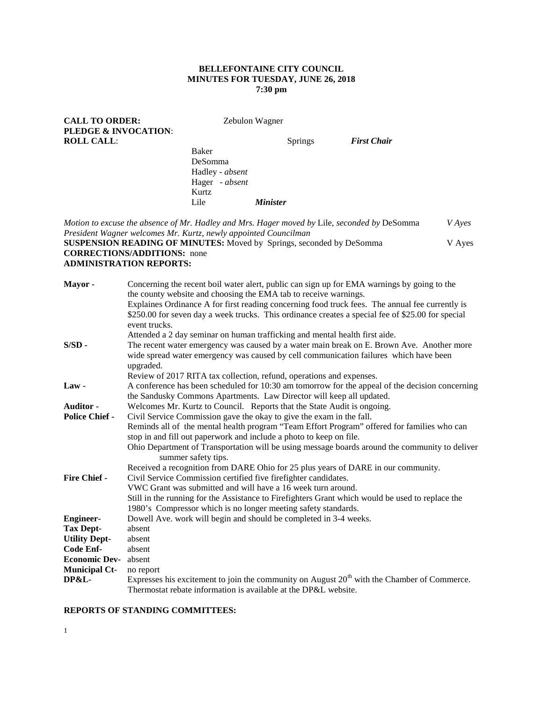## **BELLEFONTAINE CITY COUNCIL MINUTES FOR TUESDAY, JUNE 26, 2018 7:30 pm**

| <b>CALL TO ORDER:</b>                                                                                                                                                 |                                                                                                                                                                     |                                                                                                                                                     | Zebulon Wagner  |                |                                                                                                                                                                                                                                                                                                     |               |
|-----------------------------------------------------------------------------------------------------------------------------------------------------------------------|---------------------------------------------------------------------------------------------------------------------------------------------------------------------|-----------------------------------------------------------------------------------------------------------------------------------------------------|-----------------|----------------|-----------------------------------------------------------------------------------------------------------------------------------------------------------------------------------------------------------------------------------------------------------------------------------------------------|---------------|
| PLEDGE & INVOCATION:                                                                                                                                                  |                                                                                                                                                                     |                                                                                                                                                     |                 |                |                                                                                                                                                                                                                                                                                                     |               |
| <b>ROLL CALL:</b>                                                                                                                                                     |                                                                                                                                                                     |                                                                                                                                                     |                 | <b>Springs</b> | <b>First Chair</b>                                                                                                                                                                                                                                                                                  |               |
|                                                                                                                                                                       |                                                                                                                                                                     | Baker                                                                                                                                               |                 |                |                                                                                                                                                                                                                                                                                                     |               |
|                                                                                                                                                                       |                                                                                                                                                                     | DeSomma                                                                                                                                             |                 |                |                                                                                                                                                                                                                                                                                                     |               |
|                                                                                                                                                                       |                                                                                                                                                                     | Hadley - absent                                                                                                                                     |                 |                |                                                                                                                                                                                                                                                                                                     |               |
|                                                                                                                                                                       |                                                                                                                                                                     | Hager - absent                                                                                                                                      |                 |                |                                                                                                                                                                                                                                                                                                     |               |
|                                                                                                                                                                       |                                                                                                                                                                     | Kurtz                                                                                                                                               |                 |                |                                                                                                                                                                                                                                                                                                     |               |
|                                                                                                                                                                       |                                                                                                                                                                     | Lile                                                                                                                                                | <b>Minister</b> |                |                                                                                                                                                                                                                                                                                                     |               |
|                                                                                                                                                                       |                                                                                                                                                                     | President Wagner welcomes Mr. Kurtz, newly appointed Councilman                                                                                     |                 |                | Motion to excuse the absence of Mr. Hadley and Mrs. Hager moved by Lile, seconded by DeSomma                                                                                                                                                                                                        | <b>V</b> Ayes |
|                                                                                                                                                                       | <b>CORRECTIONS/ADDITIONS:</b> none<br><b>ADMINISTRATION REPORTS:</b>                                                                                                | <b>SUSPENSION READING OF MINUTES:</b> Moved by Springs, seconded by DeSomma                                                                         |                 |                |                                                                                                                                                                                                                                                                                                     | V Ayes        |
| Mayor-                                                                                                                                                                | event trucks.                                                                                                                                                       | the county website and choosing the EMA tab to receive warnings.                                                                                    |                 |                | Concerning the recent boil water alert, public can sign up for EMA warnings by going to the<br>Explaines Ordinance A for first reading concerning food truck fees. The annual fee currently is<br>\$250.00 for seven day a week trucks. This ordinance creates a special fee of \$25.00 for special |               |
| $S/SD$ -                                                                                                                                                              | upgraded.                                                                                                                                                           | Attended a 2 day seminar on human trafficking and mental health first aide.<br>Review of 2017 RITA tax collection, refund, operations and expenses. |                 |                | The recent water emergency was caused by a water main break on E. Brown Ave. Another more<br>wide spread water emergency was caused by cell communication failures which have been                                                                                                                  |               |
| $Law -$                                                                                                                                                               |                                                                                                                                                                     | the Sandusky Commons Apartments. Law Director will keep all updated.                                                                                |                 |                | A conference has been scheduled for 10:30 am tomorrow for the appeal of the decision concerning                                                                                                                                                                                                     |               |
| Auditor -                                                                                                                                                             |                                                                                                                                                                     | Welcomes Mr. Kurtz to Council. Reports that the State Audit is ongoing.                                                                             |                 |                |                                                                                                                                                                                                                                                                                                     |               |
| <b>Police Chief -</b>                                                                                                                                                 |                                                                                                                                                                     |                                                                                                                                                     |                 |                |                                                                                                                                                                                                                                                                                                     |               |
|                                                                                                                                                                       | Civil Service Commission gave the okay to give the exam in the fall.<br>Reminds all of the mental health program "Team Effort Program" offered for families who can |                                                                                                                                                     |                 |                |                                                                                                                                                                                                                                                                                                     |               |
|                                                                                                                                                                       |                                                                                                                                                                     |                                                                                                                                                     |                 |                |                                                                                                                                                                                                                                                                                                     |               |
| stop in and fill out paperwork and include a photo to keep on file.<br>Ohio Department of Transportation will be using message boards around the community to deliver |                                                                                                                                                                     |                                                                                                                                                     |                 |                |                                                                                                                                                                                                                                                                                                     |               |
|                                                                                                                                                                       | summer safety tips.                                                                                                                                                 |                                                                                                                                                     |                 |                |                                                                                                                                                                                                                                                                                                     |               |
|                                                                                                                                                                       |                                                                                                                                                                     |                                                                                                                                                     |                 |                | Received a recognition from DARE Ohio for 25 plus years of DARE in our community.                                                                                                                                                                                                                   |               |
| <b>Fire Chief -</b>                                                                                                                                                   |                                                                                                                                                                     |                                                                                                                                                     |                 |                |                                                                                                                                                                                                                                                                                                     |               |
|                                                                                                                                                                       | Civil Service Commission certified five firefighter candidates.<br>VWC Grant was submitted and will have a 16 week turn around.                                     |                                                                                                                                                     |                 |                |                                                                                                                                                                                                                                                                                                     |               |
|                                                                                                                                                                       | Still in the running for the Assistance to Firefighters Grant which would be used to replace the                                                                    |                                                                                                                                                     |                 |                |                                                                                                                                                                                                                                                                                                     |               |
|                                                                                                                                                                       |                                                                                                                                                                     | 1980's Compressor which is no longer meeting safety standards.                                                                                      |                 |                |                                                                                                                                                                                                                                                                                                     |               |
| <b>Engineer-</b>                                                                                                                                                      |                                                                                                                                                                     | Dowell Ave. work will begin and should be completed in 3-4 weeks.                                                                                   |                 |                |                                                                                                                                                                                                                                                                                                     |               |
| <b>Tax Dept-</b>                                                                                                                                                      | absent                                                                                                                                                              |                                                                                                                                                     |                 |                |                                                                                                                                                                                                                                                                                                     |               |
| <b>Utility Dept-</b>                                                                                                                                                  | absent                                                                                                                                                              |                                                                                                                                                     |                 |                |                                                                                                                                                                                                                                                                                                     |               |
| <b>Code Enf-</b>                                                                                                                                                      | absent                                                                                                                                                              |                                                                                                                                                     |                 |                |                                                                                                                                                                                                                                                                                                     |               |
| <b>Economic Dev-</b>                                                                                                                                                  | absent                                                                                                                                                              |                                                                                                                                                     |                 |                |                                                                                                                                                                                                                                                                                                     |               |
| <b>Municipal Ct-</b>                                                                                                                                                  |                                                                                                                                                                     |                                                                                                                                                     |                 |                |                                                                                                                                                                                                                                                                                                     |               |
| <b>DP&amp;L-</b>                                                                                                                                                      | no report                                                                                                                                                           |                                                                                                                                                     |                 |                | Expresses his excitement to join the community on August $20th$ with the Chamber of Commerce.                                                                                                                                                                                                       |               |
|                                                                                                                                                                       |                                                                                                                                                                     | Thermostat rebate information is available at the DP&L website.                                                                                     |                 |                |                                                                                                                                                                                                                                                                                                     |               |
|                                                                                                                                                                       |                                                                                                                                                                     |                                                                                                                                                     |                 |                |                                                                                                                                                                                                                                                                                                     |               |

# **REPORTS OF STANDING COMMITTEES:**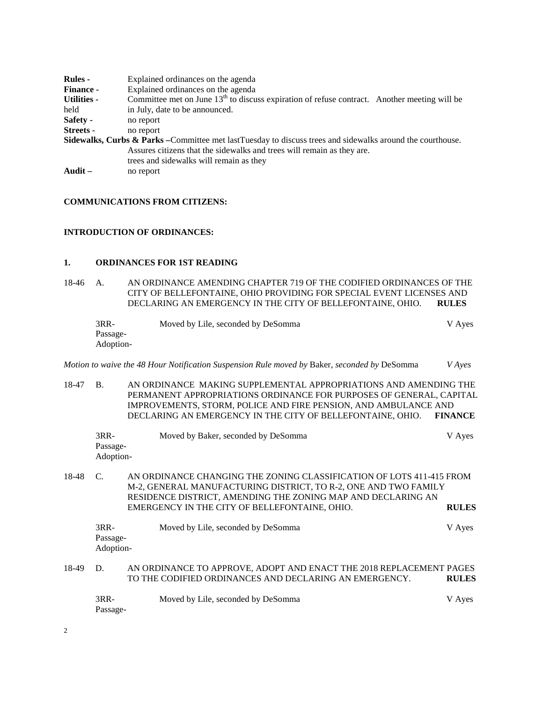| <b>Rules</b> -     | Explained ordinances on the agenda                                                                                    |
|--------------------|-----------------------------------------------------------------------------------------------------------------------|
| <b>Finance -</b>   | Explained ordinances on the agenda                                                                                    |
| <b>Utilities -</b> | Committee met on June $13th$ to discuss expiration of refuse contract. Another meeting will be                        |
| held               | in July, date to be announced.                                                                                        |
| Safety -           | no report                                                                                                             |
| Streets -          | no report                                                                                                             |
|                    | <b>Sidewalks, Curbs &amp; Parks</b> – Committee met lastTuesday to discuss trees and sidewalks around the courthouse. |
|                    | Assures citizens that the sidewalks and trees will remain as they are.                                                |
|                    | trees and sidewalks will remain as they                                                                               |
| Audit $-$          | no report                                                                                                             |

### **COMMUNICATIONS FROM CITIZENS:**

### **INTRODUCTION OF ORDINANCES:**

### **1. ORDINANCES FOR 1ST READING**

18-46 A. AN ORDINANCE AMENDING CHAPTER 719 OF THE CODIFIED ORDINANCES OF THE CITY OF BELLEFONTAINE, OHIO PROVIDING FOR SPECIAL EVENT LICENSES AND DECLARING AN EMERGENCY IN THE CITY OF BELLEFONTAINE, OHIO. **RULES**

| 3RR-      | Moved by Lile, seconded by DeSomma | V Ayes |
|-----------|------------------------------------|--------|
| Passage-  |                                    |        |
| Adoption- |                                    |        |

*Motion to waive the 48 Hour Notification Suspension Rule moved by* Baker, *seconded by* DeSomma *V Ayes*

18-47 B. AN ORDINANCE MAKING SUPPLEMENTAL APPROPRIATIONS AND AMENDING THE PERMANENT APPROPRIATIONS ORDINANCE FOR PURPOSES OF GENERAL, CAPITAL IMPROVEMENTS, STORM, POLICE AND FIRE PENSION, AND AMBULANCE AND DECLARING AN EMERGENCY IN THE CITY OF BELLEFONTAINE, OHIO. **FINANCE**

| $3RR-$    | Moved by Baker, seconded by DeSomma | V Aves |
|-----------|-------------------------------------|--------|
| Passage-  |                                     |        |
| Adoption- |                                     |        |

18-48 C. AN ORDINANCE CHANGING THE ZONING CLASSIFICATION OF LOTS 411-415 FROM M-2, GENERAL MANUFACTURING DISTRICT, TO R-2, ONE AND TWO FAMILY RESIDENCE DISTRICT, AMENDING THE ZONING MAP AND DECLARING AN EMERGENCY IN THE CITY OF BELLEFONTAINE, OHIO. **RULES**

| 3RR-      | Moved by Lile, seconded by DeSomma | V Aves |
|-----------|------------------------------------|--------|
| Passage-  |                                    |        |
| Adoption- |                                    |        |
|           |                                    |        |

18-49 D. AN ORDINANCE TO APPROVE, ADOPT AND ENACT THE 2018 REPLACEMENT PAGES TO THE CODIFIED ORDINANCES AND DECLARING AN EMERGENCY. **RULES**

| 3RR-     | Moved by Lile, seconded by DeSomma | V Ayes |
|----------|------------------------------------|--------|
| Passage- |                                    |        |